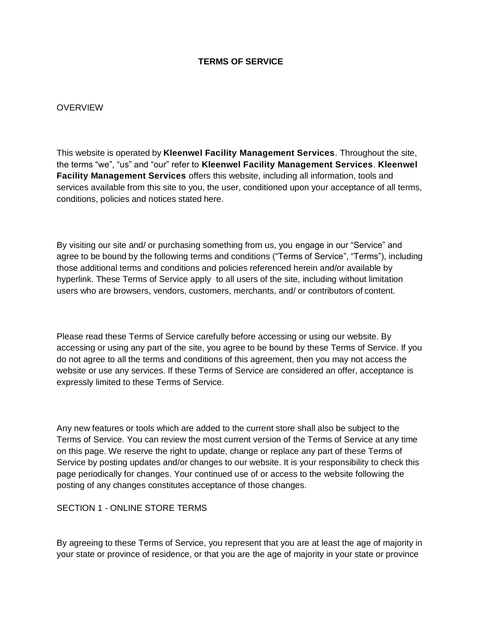#### **TERMS OF SERVICE**

#### **OVERVIEW**

This website is operated by **Kleenwel Facility Management Services**. Throughout the site, the terms "we", "us" and "our" refer to **Kleenwel Facility Management Services**. **Kleenwel Facility Management Services** offers this website, including all information, tools and services available from this site to you, the user, conditioned upon your acceptance of all terms, conditions, policies and notices stated here.

By visiting our site and/ or purchasing something from us, you engage in our "Service" and agree to be bound by the following terms and conditions ("Terms of Service", "Terms"), including those additional terms and conditions and policies referenced herein and/or available by hyperlink. These Terms of Service apply to all users of the site, including without limitation users who are browsers, vendors, customers, merchants, and/ or contributors of content.

Please read these Terms of Service carefully before accessing or using our website. By accessing or using any part of the site, you agree to be bound by these Terms of Service. If you do not agree to all the terms and conditions of this agreement, then you may not access the website or use any services. If these Terms of Service are considered an offer, acceptance is expressly limited to these Terms of Service.

Any new features or tools which are added to the current store shall also be subject to the Terms of Service. You can review the most current version of the Terms of Service at any time on this page. We reserve the right to update, change or replace any part of these Terms of Service by posting updates and/or changes to our website. It is your responsibility to check this page periodically for changes. Your continued use of or access to the website following the posting of any changes constitutes acceptance of those changes.

#### SECTION 1 - ONLINE STORE TERMS

By agreeing to these Terms of Service, you represent that you are at least the age of majority in your state or province of residence, or that you are the age of majority in your state or province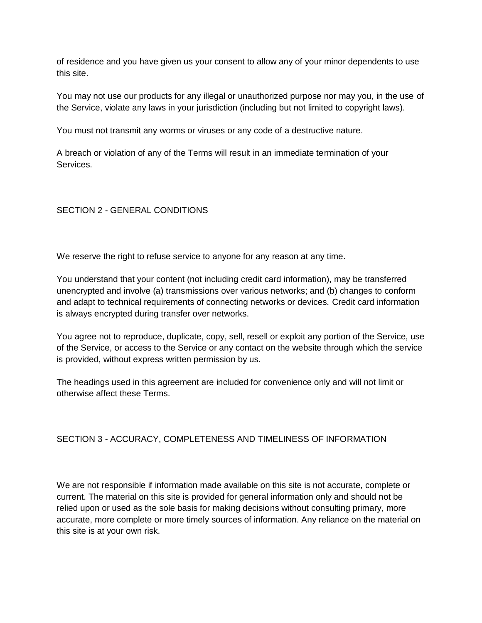of residence and you have given us your consent to allow any of your minor dependents to use this site.

You may not use our products for any illegal or unauthorized purpose nor may you, in the use of the Service, violate any laws in your jurisdiction (including but not limited to copyright laws).

You must not transmit any worms or viruses or any code of a destructive nature.

A breach or violation of any of the Terms will result in an immediate termination of your Services.

# SECTION 2 - GENERAL CONDITIONS

We reserve the right to refuse service to anyone for any reason at any time.

You understand that your content (not including credit card information), may be transferred unencrypted and involve (a) transmissions over various networks; and (b) changes to conform and adapt to technical requirements of connecting networks or devices. Credit card information is always encrypted during transfer over networks.

You agree not to reproduce, duplicate, copy, sell, resell or exploit any portion of the Service, use of the Service, or access to the Service or any contact on the website through which the service is provided, without express written permission by us.

The headings used in this agreement are included for convenience only and will not limit or otherwise affect these Terms.

# SECTION 3 - ACCURACY, COMPLETENESS AND TIMELINESS OF INFORMATION

We are not responsible if information made available on this site is not accurate, complete or current. The material on this site is provided for general information only and should not be relied upon or used as the sole basis for making decisions without consulting primary, more accurate, more complete or more timely sources of information. Any reliance on the material on this site is at your own risk.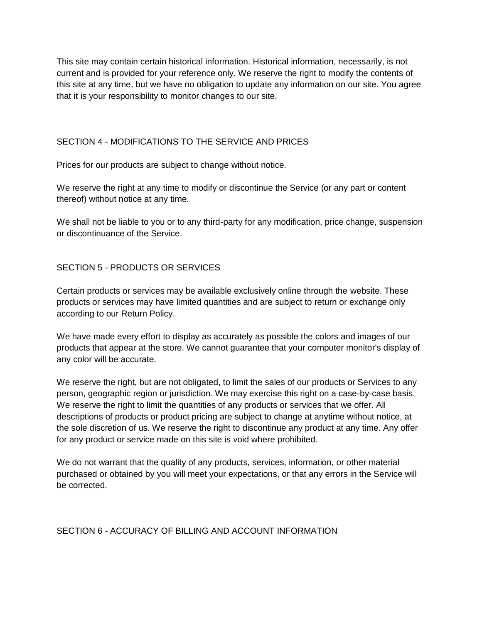This site may contain certain historical information. Historical information, necessarily, is not current and is provided for your reference only. We reserve the right to modify the contents of this site at any time, but we have no obligation to update any information on our site. You agree that it is your responsibility to monitor changes to our site.

#### SECTION 4 - MODIFICATIONS TO THE SERVICE AND PRICES

Prices for our products are subject to change without notice.

We reserve the right at any time to modify or discontinue the Service (or any part or content thereof) without notice at any time.

We shall not be liable to you or to any third-party for any modification, price change, suspension or discontinuance of the Service.

# SECTION 5 - PRODUCTS OR SERVICES

Certain products or services may be available exclusively online through the website. These products or services may have limited quantities and are subject to return or exchange only according to our Return Policy.

We have made every effort to display as accurately as possible the colors and images of our products that appear at the store. We cannot guarantee that your computer monitor's display of any color will be accurate.

We reserve the right, but are not obligated, to limit the sales of our products or Services to any person, geographic region or jurisdiction. We may exercise this right on a case-by-case basis. We reserve the right to limit the quantities of any products or services that we offer. All descriptions of products or product pricing are subject to change at anytime without notice, at the sole discretion of us. We reserve the right to discontinue any product at any time. Any offer for any product or service made on this site is void where prohibited.

We do not warrant that the quality of any products, services, information, or other material purchased or obtained by you will meet your expectations, or that any errors in the Service will be corrected.

# SECTION 6 - ACCURACY OF BILLING AND ACCOUNT INFORMATION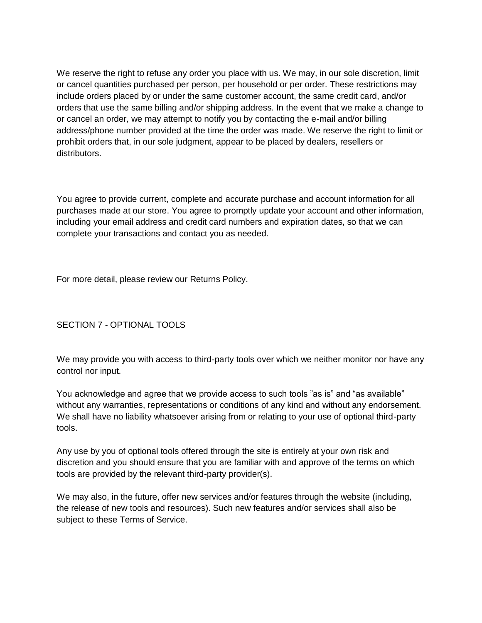We reserve the right to refuse any order you place with us. We may, in our sole discretion, limit or cancel quantities purchased per person, per household or per order. These restrictions may include orders placed by or under the same customer account, the same credit card, and/or orders that use the same billing and/or shipping address. In the event that we make a change to or cancel an order, we may attempt to notify you by contacting the e-mail and/or billing address/phone number provided at the time the order was made. We reserve the right to limit or prohibit orders that, in our sole judgment, appear to be placed by dealers, resellers or distributors.

You agree to provide current, complete and accurate purchase and account information for all purchases made at our store. You agree to promptly update your account and other information, including your email address and credit card numbers and expiration dates, so that we can complete your transactions and contact you as needed.

For more detail, please review our Returns Policy.

# SECTION 7 - OPTIONAL TOOLS

We may provide you with access to third-party tools over which we neither monitor nor have any control nor input.

You acknowledge and agree that we provide access to such tools "as is" and "as available" without any warranties, representations or conditions of any kind and without any endorsement. We shall have no liability whatsoever arising from or relating to your use of optional third-party tools.

Any use by you of optional tools offered through the site is entirely at your own risk and discretion and you should ensure that you are familiar with and approve of the terms on which tools are provided by the relevant third-party provider(s).

We may also, in the future, offer new services and/or features through the website (including, the release of new tools and resources). Such new features and/or services shall also be subject to these Terms of Service.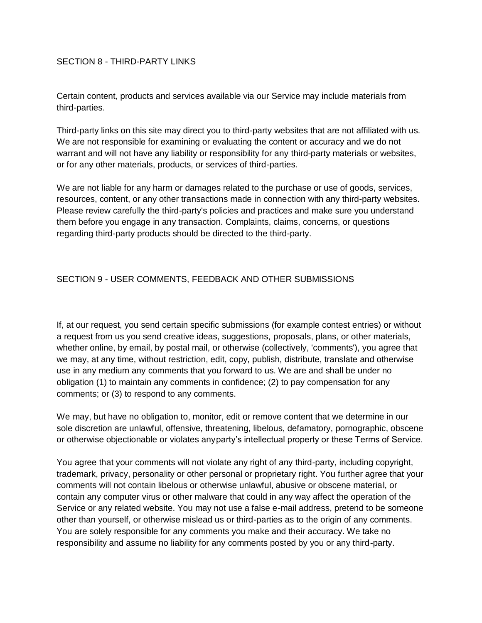### SECTION 8 - THIRD-PARTY LINKS

Certain content, products and services available via our Service may include materials from third-parties.

Third-party links on this site may direct you to third-party websites that are not affiliated with us. We are not responsible for examining or evaluating the content or accuracy and we do not warrant and will not have any liability or responsibility for any third-party materials or websites, or for any other materials, products, or services of third-parties.

We are not liable for any harm or damages related to the purchase or use of goods, services, resources, content, or any other transactions made in connection with any third-party websites. Please review carefully the third-party's policies and practices and make sure you understand them before you engage in any transaction. Complaints, claims, concerns, or questions regarding third-party products should be directed to the third-party.

### SECTION 9 - USER COMMENTS, FEEDBACK AND OTHER SUBMISSIONS

If, at our request, you send certain specific submissions (for example contest entries) or without a request from us you send creative ideas, suggestions, proposals, plans, or other materials, whether online, by email, by postal mail, or otherwise (collectively, 'comments'), you agree that we may, at any time, without restriction, edit, copy, publish, distribute, translate and otherwise use in any medium any comments that you forward to us. We are and shall be under no obligation (1) to maintain any comments in confidence; (2) to pay compensation for any comments; or (3) to respond to any comments.

We may, but have no obligation to, monitor, edit or remove content that we determine in our sole discretion are unlawful, offensive, threatening, libelous, defamatory, pornographic, obscene or otherwise objectionable or violates anyparty's intellectual property or these Terms of Service.

You agree that your comments will not violate any right of any third-party, including copyright, trademark, privacy, personality or other personal or proprietary right. You further agree that your comments will not contain libelous or otherwise unlawful, abusive or obscene material, or contain any computer virus or other malware that could in any way affect the operation of the Service or any related website. You may not use a false e-mail address, pretend to be someone other than yourself, or otherwise mislead us or third-parties as to the origin of any comments. You are solely responsible for any comments you make and their accuracy. We take no responsibility and assume no liability for any comments posted by you or any third-party.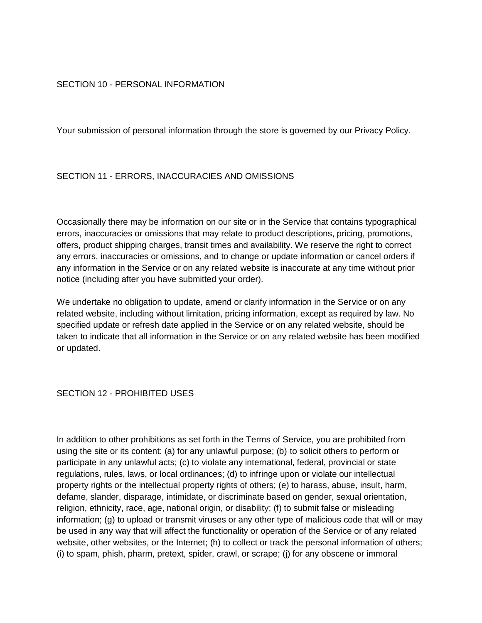### SECTION 10 - PERSONAL INFORMATION

Your submission of personal information through the store is governed by our Privacy Policy.

#### SECTION 11 - ERRORS, INACCURACIES AND OMISSIONS

Occasionally there may be information on our site or in the Service that contains typographical errors, inaccuracies or omissions that may relate to product descriptions, pricing, promotions, offers, product shipping charges, transit times and availability. We reserve the right to correct any errors, inaccuracies or omissions, and to change or update information or cancel orders if any information in the Service or on any related website is inaccurate at any time without prior notice (including after you have submitted your order).

We undertake no obligation to update, amend or clarify information in the Service or on any related website, including without limitation, pricing information, except as required by law. No specified update or refresh date applied in the Service or on any related website, should be taken to indicate that all information in the Service or on any related website has been modified or updated.

#### SECTION 12 - PROHIBITED USES

In addition to other prohibitions as set forth in the Terms of Service, you are prohibited from using the site or its content: (a) for any unlawful purpose; (b) to solicit others to perform or participate in any unlawful acts; (c) to violate any international, federal, provincial or state regulations, rules, laws, or local ordinances; (d) to infringe upon or violate our intellectual property rights or the intellectual property rights of others; (e) to harass, abuse, insult, harm, defame, slander, disparage, intimidate, or discriminate based on gender, sexual orientation, religion, ethnicity, race, age, national origin, or disability; (f) to submit false or misleading information; (g) to upload or transmit viruses or any other type of malicious code that will or may be used in any way that will affect the functionality or operation of the Service or of any related website, other websites, or the Internet; (h) to collect or track the personal information of others; (i) to spam, phish, pharm, pretext, spider, crawl, or scrape; (j) for any obscene or immoral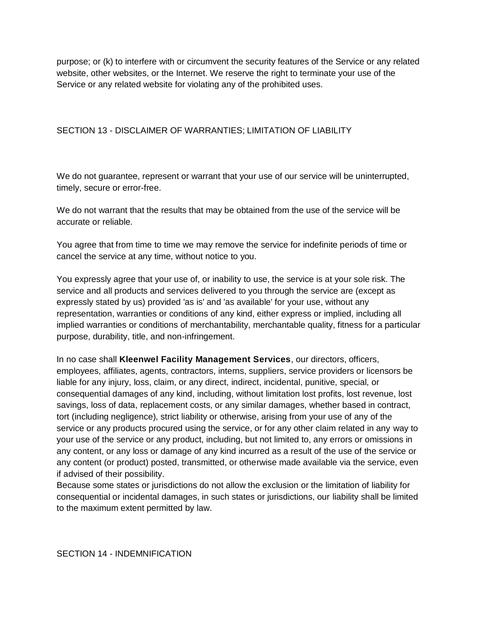purpose; or (k) to interfere with or circumvent the security features of the Service or any related website, other websites, or the Internet. We reserve the right to terminate your use of the Service or any related website for violating any of the prohibited uses.

### SECTION 13 - DISCLAIMER OF WARRANTIES; LIMITATION OF LIABILITY

We do not guarantee, represent or warrant that your use of our service will be uninterrupted, timely, secure or error-free.

We do not warrant that the results that may be obtained from the use of the service will be accurate or reliable.

You agree that from time to time we may remove the service for indefinite periods of time or cancel the service at any time, without notice to you.

You expressly agree that your use of, or inability to use, the service is at your sole risk. The service and all products and services delivered to you through the service are (except as expressly stated by us) provided 'as is' and 'as available' for your use, without any representation, warranties or conditions of any kind, either express or implied, including all implied warranties or conditions of merchantability, merchantable quality, fitness for a particular purpose, durability, title, and non-infringement.

In no case shall **Kleenwel Facility Management Services**, our directors, officers, employees, affiliates, agents, contractors, interns, suppliers, service providers or licensors be liable for any injury, loss, claim, or any direct, indirect, incidental, punitive, special, or consequential damages of any kind, including, without limitation lost profits, lost revenue, lost savings, loss of data, replacement costs, or any similar damages, whether based in contract, tort (including negligence), strict liability or otherwise, arising from your use of any of the service or any products procured using the service, or for any other claim related in any way to your use of the service or any product, including, but not limited to, any errors or omissions in any content, or any loss or damage of any kind incurred as a result of the use of the service or any content (or product) posted, transmitted, or otherwise made available via the service, even if advised of their possibility.

Because some states or jurisdictions do not allow the exclusion or the limitation of liability for consequential or incidental damages, in such states or jurisdictions, our liability shall be limited to the maximum extent permitted by law.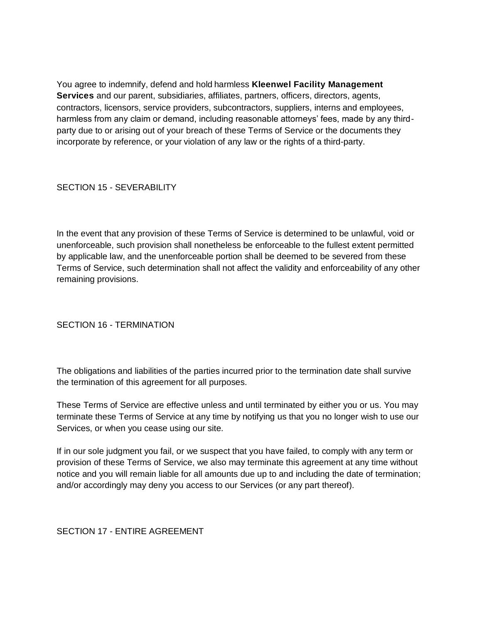You agree to indemnify, defend and hold harmless **Kleenwel Facility Management Services** and our parent, subsidiaries, affiliates, partners, officers, directors, agents, contractors, licensors, service providers, subcontractors, suppliers, interns and employees, harmless from any claim or demand, including reasonable attorneys' fees, made by any thirdparty due to or arising out of your breach of these Terms of Service or the documents they incorporate by reference, or your violation of any law or the rights of a third-party.

#### SECTION 15 - SEVERABILITY

In the event that any provision of these Terms of Service is determined to be unlawful, void or unenforceable, such provision shall nonetheless be enforceable to the fullest extent permitted by applicable law, and the unenforceable portion shall be deemed to be severed from these Terms of Service, such determination shall not affect the validity and enforceability of any other remaining provisions.

#### SECTION 16 - TERMINATION

The obligations and liabilities of the parties incurred prior to the termination date shall survive the termination of this agreement for all purposes.

These Terms of Service are effective unless and until terminated by either you or us. You may terminate these Terms of Service at any time by notifying us that you no longer wish to use our Services, or when you cease using our site.

If in our sole judgment you fail, or we suspect that you have failed, to comply with any term or provision of these Terms of Service, we also may terminate this agreement at any time without notice and you will remain liable for all amounts due up to and including the date of termination; and/or accordingly may deny you access to our Services (or any part thereof).

#### SECTION 17 - ENTIRE AGREEMENT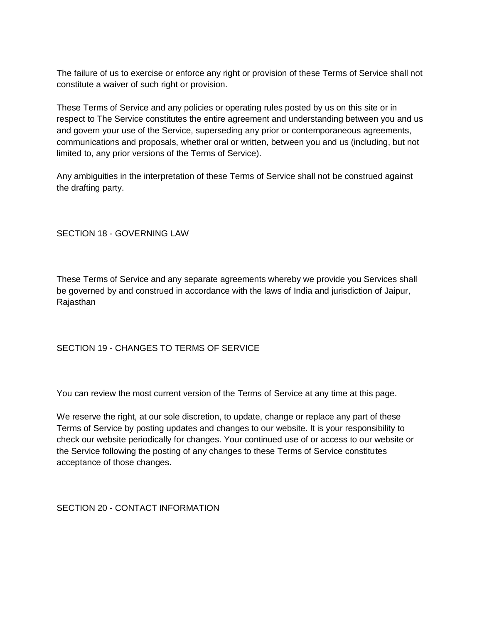The failure of us to exercise or enforce any right or provision of these Terms of Service shall not constitute a waiver of such right or provision.

These Terms of Service and any policies or operating rules posted by us on this site or in respect to The Service constitutes the entire agreement and understanding between you and us and govern your use of the Service, superseding any prior or contemporaneous agreements, communications and proposals, whether oral or written, between you and us (including, but not limited to, any prior versions of the Terms of Service).

Any ambiguities in the interpretation of these Terms of Service shall not be construed against the drafting party.

# SECTION 18 - GOVERNING LAW

These Terms of Service and any separate agreements whereby we provide you Services shall be governed by and construed in accordance with the laws of India and jurisdiction of Jaipur, Rajasthan

# SECTION 19 - CHANGES TO TERMS OF SERVICE

You can review the most current version of the Terms of Service at any time at this page.

We reserve the right, at our sole discretion, to update, change or replace any part of these Terms of Service by posting updates and changes to our website. It is your responsibility to check our website periodically for changes. Your continued use of or access to our website or the Service following the posting of any changes to these Terms of Service constitutes acceptance of those changes.

SECTION 20 - CONTACT INFORMATION